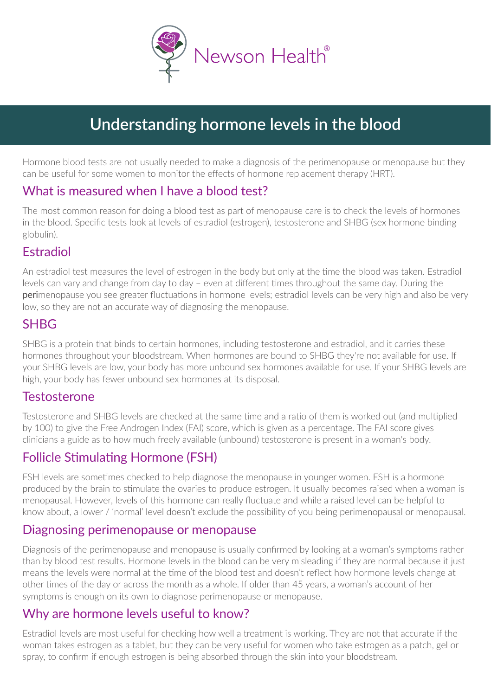

# **Understanding hormone levels in the blood**

Hormone blood tests are not usually needed to make a diagnosis of the perimenopause or menopause but they can be useful for some women to monitor the effects of hormone replacement therapy (HRT).

## What is measured when I have a blood test?

The most common reason for doing a blood test as part of menopause care is to check the levels of hormones in the blood. Specific tests look at levels of estradiol (estrogen), testosterone and SHBG (sex hormone binding globulin).

# Estradiol

An estradiol test measures the level of estrogen in the body but only at the time the blood was taken. Estradiol levels can vary and change from day to day – even at different times throughout the same day. During the perimenopause you see greater fluctuations in hormone levels; estradiol levels can be very high and also be very low, so they are not an accurate way of diagnosing the menopause.

#### **SHRG**

SHBG is a protein that binds to certain hormones, including testosterone and estradiol, and it carries these hormones throughout your bloodstream. When hormones are bound to SHBG they're not available for use. If your SHBG levels are low, your body has more unbound sex hormones available for use. If your SHBG levels are high, your body has fewer unbound sex hormones at its disposal.

#### Testosterone

Testosterone and SHBG levels are checked at the same time and a ratio of them is worked out (and multiplied by 100) to give the Free Androgen Index (FAI) score, which is given as a percentage. The FAI score gives clinicians a guide as to how much freely available (unbound) testosterone is present in a woman's body.

# Follicle Stimulating Hormone (FSH)

FSH levels are sometimes checked to help diagnose the menopause in younger women. FSH is a hormone produced by the brain to stimulate the ovaries to produce estrogen. It usually becomes raised when a woman is menopausal. However, levels of this hormone can really fluctuate and while a raised level can be helpful to know about, a lower / 'normal' level doesn't exclude the possibility of you being perimenopausal or menopausal.

#### Diagnosing perimenopause or menopause

Diagnosis of the perimenopause and menopause is usually confirmed by looking at a woman's symptoms rather than by blood test results. Hormone levels in the blood can be very misleading if they are normal because it just means the levels were normal at the time of the blood test and doesn't reflect how hormone levels change at other times of the day or across the month as a whole. If older than 45 years, a woman's account of her symptoms is enough on its own to diagnose perimenopause or menopause.

## Why are hormone levels useful to know?

Estradiol levels are most useful for checking how well a treatment is working. They are not that accurate if the woman takes estrogen as a tablet, but they can be very useful for women who take estrogen as a patch, gel or spray, to confirm if enough estrogen is being absorbed through the skin into your bloodstream.